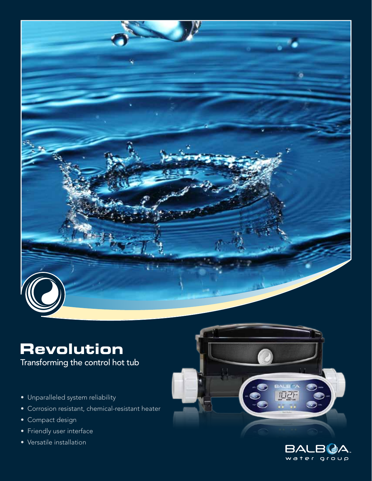

# **Revolution**

Transforming the control hot tub

- Unparalleled system reliability
- Corrosion resistant, chemical-resistant heater
- Compact design
- Friendly user interface
- Versatile installation



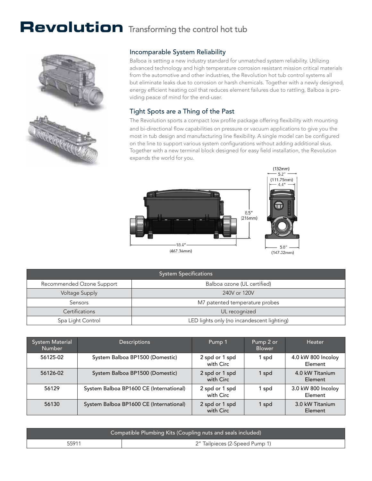## Revolution Transforming the control hot tub



#### Incomparable System Reliability

Balboa is setting a new industry standard for unmatched system reliability. Utilizing advanced technology and high temperature corrosion resistant mission critical materials from the automotive and other industries, the Revolution hot tub control systems all but eliminate leaks due to corrosion or harsh chemicals. Together with a newly designed, energy efficient heating coil that reduces element failures due to rattling, Balboa is providing peace of mind for the end-user.

#### Tight Spots are a Thing of the Past

The Revolution sports a compact low profile package offering flexibility with mounting and bi-directional flow capabilities on pressure or vacuum applications to give you the most in tub design and manufacturing line flexibility. A single model can be configured on the line to support various system configurations without adding additional skus. Together with a new terminal block designed for easy field installation, the Revolution expands the world for you.



| <b>System Specifications</b> |                                            |  |
|------------------------------|--------------------------------------------|--|
| Recommended Ozone Support    | Balboa ozone (UL certified)                |  |
| Voltage Supply               | 240V or 120V                               |  |
| <b>Sensors</b>               | M7 patented temperature probes             |  |
| <b>Certifications</b>        | UL recognized                              |  |
| Spa Light Control            | LED lights only (no incandescent lighting) |  |

| <b>System Material</b><br><b>Number</b> | <b>Descriptions</b>                     | Pump 1                      | Pump 2 or<br><b>Blower</b> | Heater                        |
|-----------------------------------------|-----------------------------------------|-----------------------------|----------------------------|-------------------------------|
| 56125-02                                | System Balboa BP1500 (Domestic)         | 2 spd or 1 spd<br>with Circ | spd                        | 4.0 kW 800 Incolov<br>Element |
| 56126-02                                | System Balboa BP1500 (Domestic)         | 2 spd or 1 spd<br>with Circ | 1 spd                      | 4.0 kW Titanium<br>Element    |
| 56129                                   | System Balboa BP1600 CE (International) | 2 spd or 1 spd<br>with Circ | l spd                      | 3.0 kW 800 Incolov<br>Element |
| 56130                                   | System Balboa BP1600 CE (International) | 2 spd or 1 spd<br>with Circ | 1 spd                      | 3.0 kW Titanium<br>Element    |

| Compatible Plumbing Kits (Coupling nuts and seals included) |                                |  |
|-------------------------------------------------------------|--------------------------------|--|
| 55911                                                       | 2" Tailpieces (2-Speed Pump 1) |  |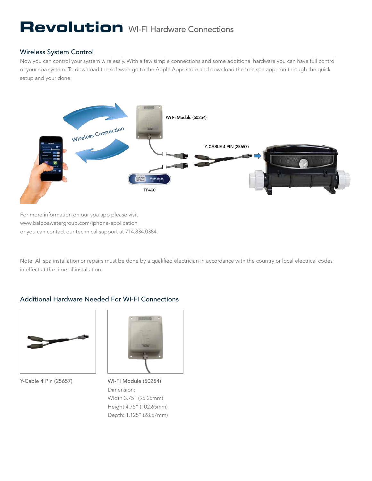## **Revolution** WI-FI Hardware Connections

#### Wireless System Control

Now you can control your system wirelessly. With a few simple connections and some additional hardware you can have full control of your spa system. To download the software go to the Apple Apps store and download the free spa app, run through the quick setup and your done.



For more information on our spa app please visit www.balboawatergroup.com/iphone-application or you can contact our technical support at 714.834.0384.

Note: All spa installation or repairs must be done by a qualified electrician in accordance with the country or local electrical codes in effect at the time of installation.

### Additional Hardware Needed For WI-FI Connections



Y-Cable 4 Pin (25657) WI-FI Module (50254)



Dimension: Width 3.75" (95.25mm) Height 4.75" (102.65mm) Depth: 1.125" (28.57mm)